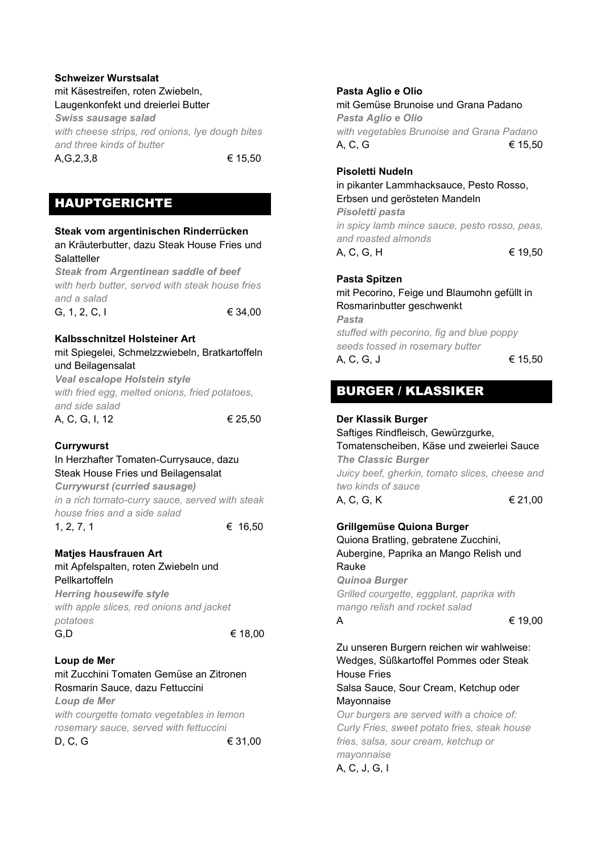### **Schweizer Wurstsalat** mit Käsestreifen, roten Zwiebeln, Laugenkonfekt und dreierlei Butter

*Swiss sausage salad with cheese strips, red onions, lye dough bites and three kinds of butter*

 $A, G, 2, 3, 8$   $\in$  15,50

# HAUPTGERICHTE

## **Steak vom argentinischen Rinderrücken** an Kräuterbutter, dazu Steak House Fries und Salatteller *Steak from Argentinean saddle of beef with herb butter, served with steak house fries and a salad* G, 1, 2, C, I  $\in$  34,00 **Kalbsschnitzel Holsteiner Art** mit Spiegelei, Schmelzzwiebeln, Bratkartoffeln und Beilagensalat *Veal escalope Holstein style*

*with fried egg, melted onions, fried potatoes, and side salad* A, C, G, I, 12 € 25,50

## **Currywurst**

### In Herzhafter Tomaten-Currysauce, dazu Steak House Fries und Beilagensalat

*Currywurst (curried sausage) in a rich tomato-curry sauce, served with steak house fries and a side salad*  $1, 2, 7, 1$   $\in$  16.50

## **Matjes Hausfrauen Art**

### mit Apfelspalten, roten Zwiebeln und Pellkartoffeln

*Herring housewife style with apple slices, red onions and jacket potatoes* G.D  $6.0$ 

## **Loup de Mer**

## mit Zucchini Tomaten Gemüse an Zitronen Rosmarin Sauce, dazu Fettuccini *Loup de Mer*

*with courgette tomato vegetables in lemon rosemary sauce, served with fettuccini* D, C, G ∈ 31,00

### **Pasta Aglio e Olio**

mit Gemüse Brunoise und Grana Padano *Pasta Aglio e Olio with vegetables Brunoise and Grana Padano*  A, C, G  $\epsilon$  15.50

### **Pisoletti Nudeln**

in pikanter Lammhacksauce, Pesto Rosso, Erbsen und gerösteten Mandeln *Pisoletti pasta in spicy lamb mince sauce, pesto rosso, peas, and roasted almonds* A, C, G, H  $\epsilon$  19,50

### **Pasta Spitzen** mit Pecorino, Feige und Blaumohn gefüllt in Rosmarinbutter geschwenkt *Pasta*

*stuffed with pecorino, fig and blue poppy seeds tossed in rosemary butter*  A, C, G, J  $\in$  15,50

# BURGER / KLASSIKER

### **Der Klassik Burger**

Saftiges Rindfleisch, Gewürzgurke, Tomatenscheiben, Käse und zweierlei Sauce *The Classic Burger Juicy beef, gherkin, tomato slices, cheese and two kinds of sauce*

A, C, G, K  $\in$  21,00

### **Grillgemüse Quiona Burger**

Quiona Bratling, gebratene Zucchini, Aubergine, Paprika an Mango Relish und Rauke *Quinoa Burger Grilled courgette, eggplant, paprika with mango relish and rocket salad* A  $\epsilon$  19.00

Zu unseren Burgern reichen wir wahlweise: Wedges, Süßkartoffel Pommes oder Steak House Fries Salsa Sauce, Sour Cream, Ketchup oder Mayonnaise *Our burgers are served with a choice of:* 

*Curly Fries, sweet potato fries, steak house fries, salsa, sour cream, ketchup or mayonnaise* A, C, J, G, I